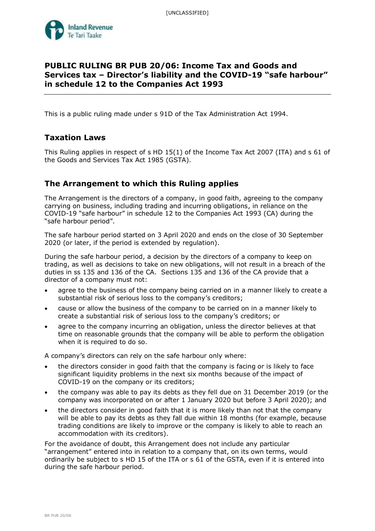

# **PUBLIC RULING BR PUB 20/06: Income Tax and Goods and Services tax – Director's liability and the COVID-19 "safe harbour" in schedule 12 to the Companies Act 1993**

This is a public ruling made under s 91D of the Tax Administration Act 1994.

# **Taxation Laws**

This Ruling applies in respect of s HD 15(1) of the Income Tax Act 2007 (ITA) and s 61 of the Goods and Services Tax Act 1985 (GSTA).

# **The Arrangement to which this Ruling applies**

The Arrangement is the directors of a company, in good faith, agreeing to the company carrying on business, including trading and incurring obligations, in reliance on the COVID-19 "safe harbour" in schedule 12 to the Companies Act 1993 (CA) during the "safe harbour period".

The safe harbour period started on 3 April 2020 and ends on the close of 30 September 2020 (or later, if the period is extended by regulation).

During the safe harbour period, a decision by the directors of a company to keep on trading, as well as decisions to take on new obligations, will not result in a breach of the duties in ss 135 and 136 of the CA. Sections 135 and 136 of the CA provide that a director of a company must not:

- agree to the business of the company being carried on in a manner likely to create a substantial risk of serious loss to the company's creditors;
- cause or allow the business of the company to be carried on in a manner likely to create a substantial risk of serious loss to the company's creditors; or
- agree to the company incurring an obligation, unless the director believes at that time on reasonable grounds that the company will be able to perform the obligation when it is required to do so.

A company's directors can rely on the safe harbour only where:

- the directors consider in good faith that the company is facing or is likely to face significant liquidity problems in the next six months because of the impact of COVID-19 on the company or its creditors;
- the company was able to pay its debts as they fell due on 31 December 2019 (or the company was incorporated on or after 1 January 2020 but before 3 April 2020); and
- the directors consider in good faith that it is more likely than not that the company will be able to pay its debts as they fall due within 18 months (for example, because trading conditions are likely to improve or the company is likely to able to reach an accommodation with its creditors).

For the avoidance of doubt, this Arrangement does not include any particular "arrangement" entered into in relation to a company that, on its own terms, would ordinarily be subject to s HD 15 of the ITA or s 61 of the GSTA, even if it is entered into during the safe harbour period.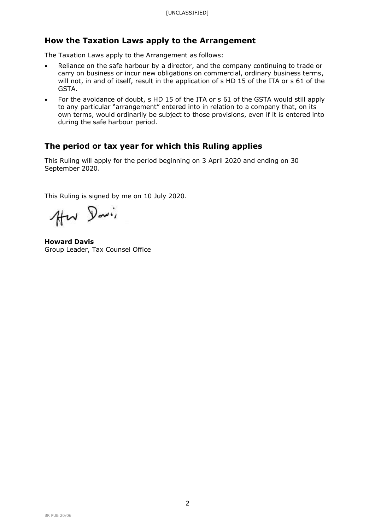# **How the Taxation Laws apply to the Arrangement**

The Taxation Laws apply to the Arrangement as follows:

- Reliance on the safe harbour by a director, and the company continuing to trade or carry on business or incur new obligations on commercial, ordinary business terms, will not, in and of itself, result in the application of s HD 15 of the ITA or s 61 of the GSTA.
- For the avoidance of doubt, s HD 15 of the ITA or s 61 of the GSTA would still apply to any particular "arrangement" entered into in relation to a company that, on its own terms, would ordinarily be subject to those provisions, even if it is entered into during the safe harbour period.

# **The period or tax year for which this Ruling applies**

This Ruling will apply for the period beginning on 3 April 2020 and ending on 30 September 2020.

This Ruling is signed by me on 10 July 2020.

Hw Davis

**Howard Davis** Group Leader, Tax Counsel Office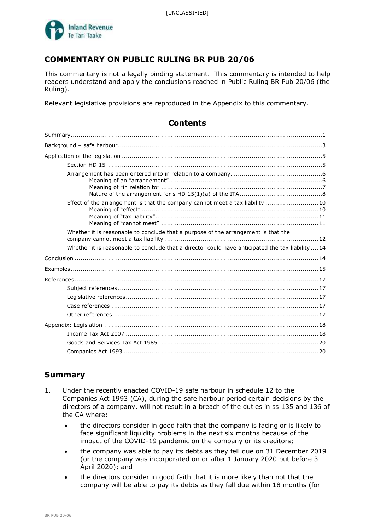

# **COMMENTARY ON PUBLIC RULING BR PUB 20/06**

This commentary is not a legally binding statement. This commentary is intended to help readers understand and apply the conclusions reached in Public Ruling BR Pub 20/06 (the Ruling).

**Contents**

Relevant legislative provisions are reproduced in the Appendix to this commentary.

| Effect of the arrangement is that the company cannot meet a tax liability  10                     |
|---------------------------------------------------------------------------------------------------|
| Whether it is reasonable to conclude that a purpose of the arrangement is that the                |
| Whether it is reasonable to conclude that a director could have anticipated the tax liability  14 |
|                                                                                                   |
|                                                                                                   |
|                                                                                                   |
|                                                                                                   |
|                                                                                                   |
|                                                                                                   |
|                                                                                                   |
|                                                                                                   |
|                                                                                                   |
|                                                                                                   |
|                                                                                                   |

# **Summary**

- 1. Under the recently enacted COVID-19 safe harbour in schedule 12 to the Companies Act 1993 (CA), during the safe harbour period certain decisions by the directors of a company, will not result in a breach of the duties in ss 135 and 136 of the CA where:
	- the directors consider in good faith that the company is facing or is likely to face significant liquidity problems in the next six months because of the impact of the COVID-19 pandemic on the company or its creditors;
	- the company was able to pay its debts as they fell due on 31 December 2019 (or the company was incorporated on or after 1 January 2020 but before 3 April 2020); and
	- the directors consider in good faith that it is more likely than not that the company will be able to pay its debts as they fall due within 18 months (for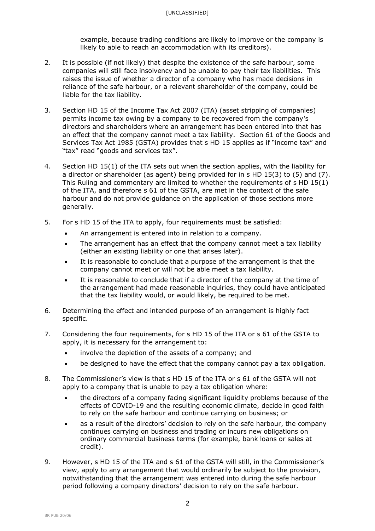example, because trading conditions are likely to improve or the company is likely to able to reach an accommodation with its creditors).

- 2. It is possible (if not likely) that despite the existence of the safe harbour, some companies will still face insolvency and be unable to pay their tax liabilities. This raises the issue of whether a director of a company who has made decisions in reliance of the safe harbour, or a relevant shareholder of the company, could be liable for the tax liability.
- 3. Section HD 15 of the Income Tax Act 2007 (ITA) (asset stripping of companies) permits income tax owing by a company to be recovered from the company's directors and shareholders where an arrangement has been entered into that has an effect that the company cannot meet a tax liability. Section 61 of the Goods and Services Tax Act 1985 (GSTA) provides that s HD 15 applies as if "income tax" and "tax" read "goods and services tax".
- 4. Section HD 15(1) of the ITA sets out when the section applies, with the liability for a director or shareholder (as agent) being provided for in s HD 15(3) to (5) and (7). This Ruling and commentary are limited to whether the requirements of s HD 15(1) of the ITA, and therefore s 61 of the GSTA, are met in the context of the safe harbour and do not provide guidance on the application of those sections more generally.
- 5. For s HD 15 of the ITA to apply, four requirements must be satisfied:
	- An arrangement is entered into in relation to a company.
	- The arrangement has an effect that the company cannot meet a tax liability (either an existing liability or one that arises later).
	- It is reasonable to conclude that a purpose of the arrangement is that the company cannot meet or will not be able meet a tax liability.
	- It is reasonable to conclude that if a director of the company at the time of the arrangement had made reasonable inquiries, they could have anticipated that the tax liability would, or would likely, be required to be met.
- 6. Determining the effect and intended purpose of an arrangement is highly fact specific.
- 7. Considering the four requirements, for s HD 15 of the ITA or s 61 of the GSTA to apply, it is necessary for the arrangement to:
	- involve the depletion of the assets of a company; and
	- be designed to have the effect that the company cannot pay a tax obligation.
- 8. The Commissioner's view is that s HD 15 of the ITA or s 61 of the GSTA will not apply to a company that is unable to pay a tax obligation where:
	- the directors of a company facing significant liquidity problems because of the effects of COVID-19 and the resulting economic climate, decide in good faith to rely on the safe harbour and continue carrying on business; or
	- as a result of the directors' decision to rely on the safe harbour, the company continues carrying on business and trading or incurs new obligations on ordinary commercial business terms (for example, bank loans or sales at credit).
- 9. However, s HD 15 of the ITA and s 61 of the GSTA will still, in the Commissioner's view, apply to any arrangement that would ordinarily be subject to the provision, notwithstanding that the arrangement was entered into during the safe harbour period following a company directors' decision to rely on the safe harbour.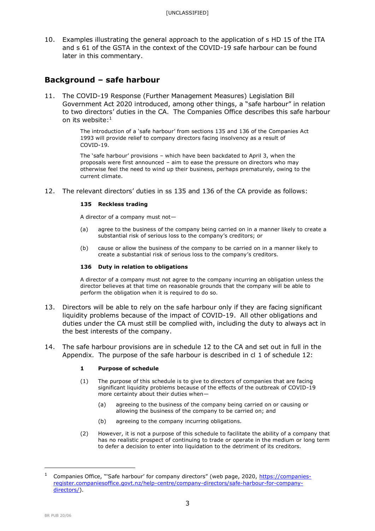10. Examples illustrating the general approach to the application of s HD 15 of the ITA and s 61 of the GSTA in the context of the COVID-19 safe harbour can be found later in this commentary.

# **Background – safe harbour**

11. The COVID-19 Response (Further Management Measures) Legislation Bill Government Act 2020 introduced, among other things, a "safe harbour" in relation to two directors' duties in the CA. The Companies Office describes this safe harbour on its website: $^1$ 

> The introduction of a 'safe harbour' from sections 135 and 136 of the Companies Act 1993 will provide relief to company directors facing insolvency as a result of COVID-19.

> The 'safe harbour' provisions – which have been backdated to April 3, when the proposals were first announced – aim to ease the pressure on directors who may otherwise feel the need to wind up their business, perhaps prematurely, owing to the current climate.

12. The relevant directors' duties in ss 135 and 136 of the CA provide as follows:

### **135 Reckless trading**

A director of a company must not—

- (a) agree to the business of the company being carried on in a manner likely to create a substantial risk of serious loss to the company's creditors; or
- (b) cause or allow the business of the company to be carried on in a manner likely to create a substantial risk of serious loss to the company's creditors.

### **136 Duty in relation to obligations**

A director of a company must not agree to the company incurring an obligation unless the director believes at that time on reasonable grounds that the company will be able to perform the obligation when it is required to do so.

- 13. Directors will be able to rely on the safe harbour only if they are facing significant liquidity problems because of the impact of COVID-19. All other obligations and duties under the CA must still be complied with, including the duty to always act in the best interests of the company.
- 14. The safe harbour provisions are in schedule 12 to the CA and set out in full in the Appendix. The purpose of the safe harbour is described in cl 1 of schedule 12:

## **1 Purpose of schedule**

- (1) The purpose of this schedule is to give to directors of companies that are facing significant liquidity problems because of the effects of the outbreak of COVID-19 more certainty about their duties when—
	- (a) agreeing to the business of the company being carried on or causing or allowing the business of the company to be carried on; and
	- (b) agreeing to the company incurring obligations.
- (2) However, it is not a purpose of this schedule to facilitate the ability of a company that has no realistic prospect of continuing to trade or operate in the medium or long term to defer a decision to enter into liquidation to the detriment of its creditors.

Companies Office, "'Safe harbour' for company directors" (web page, 2020, [https://companies](https://companies-register.companiesoffice.govt.nz/help-centre/company-directors/safe-harbour-for-company-directors/)[register.companiesoffice.govt.nz/help-centre/company-directors/safe-harbour-for-company](https://companies-register.companiesoffice.govt.nz/help-centre/company-directors/safe-harbour-for-company-directors/)[directors/\)](https://companies-register.companiesoffice.govt.nz/help-centre/company-directors/safe-harbour-for-company-directors/).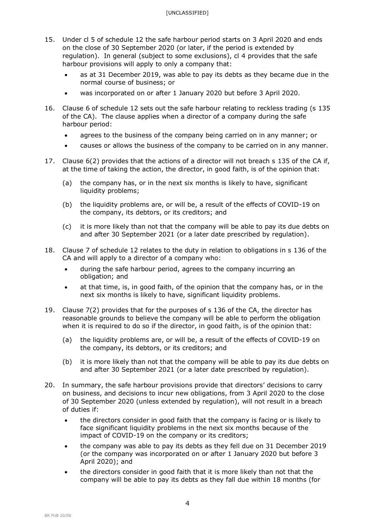- 15. Under cl 5 of schedule 12 the safe harbour period starts on 3 April 2020 and ends on the close of 30 September 2020 (or later, if the period is extended by regulation). In general (subject to some exclusions), cl 4 provides that the safe harbour provisions will apply to only a company that:
	- as at 31 December 2019, was able to pay its debts as they became due in the normal course of business; or
	- was incorporated on or after 1 January 2020 but before 3 April 2020.
- 16. Clause 6 of schedule 12 sets out the safe harbour relating to reckless trading (s 135 of the CA). The clause applies when a director of a company during the safe harbour period:
	- agrees to the business of the company being carried on in any manner; or
	- causes or allows the business of the company to be carried on in any manner.
- 17. Clause 6(2) provides that the actions of a director will not breach s 135 of the CA if, at the time of taking the action, the director, in good faith, is of the opinion that:
	- (a) the company has, or in the next six months is likely to have, significant liquidity problems:
	- (b) the liquidity problems are, or will be, a result of the effects of COVID-19 on the company, its debtors, or its creditors; and
	- (c) it is more likely than not that the company will be able to pay its due debts on and after 30 September 2021 (or a later date prescribed by regulation).
- 18. Clause 7 of schedule 12 relates to the duty in relation to obligations in s 136 of the CA and will apply to a director of a company who:
	- during the safe harbour period, agrees to the company incurring an obligation; and
	- at that time, is, in good faith, of the opinion that the company has, or in the next six months is likely to have, significant liquidity problems.
- 19. Clause 7(2) provides that for the purposes of s 136 of the CA, the director has reasonable grounds to believe the company will be able to perform the obligation when it is required to do so if the director, in good faith, is of the opinion that:
	- (a) the liquidity problems are, or will be, a result of the effects of COVID-19 on the company, its debtors, or its creditors; and
	- (b) it is more likely than not that the company will be able to pay its due debts on and after 30 September 2021 (or a later date prescribed by regulation).
- 20. In summary, the safe harbour provisions provide that directors' decisions to carry on business, and decisions to incur new obligations, from 3 April 2020 to the close of 30 September 2020 (unless extended by regulation), will not result in a breach of duties if:
	- the directors consider in good faith that the company is facing or is likely to face significant liquidity problems in the next six months because of the impact of COVID-19 on the company or its creditors;
	- the company was able to pay its debts as they fell due on 31 December 2019 (or the company was incorporated on or after 1 January 2020 but before 3 April 2020); and
	- the directors consider in good faith that it is more likely than not that the company will be able to pay its debts as they fall due within 18 months (for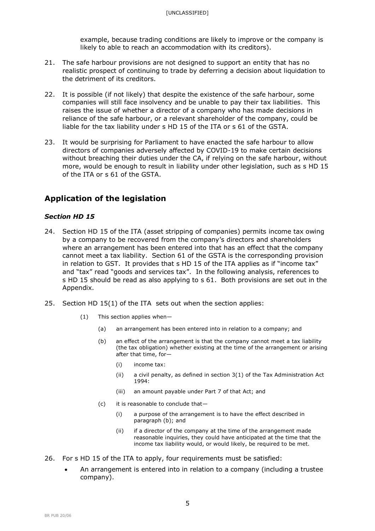example, because trading conditions are likely to improve or the company is likely to able to reach an accommodation with its creditors).

- 21. The safe harbour provisions are not designed to support an entity that has no realistic prospect of continuing to trade by deferring a decision about liquidation to the detriment of its creditors.
- 22. It is possible (if not likely) that despite the existence of the safe harbour, some companies will still face insolvency and be unable to pay their tax liabilities. This raises the issue of whether a director of a company who has made decisions in reliance of the safe harbour, or a relevant shareholder of the company, could be liable for the tax liability under s HD 15 of the ITA or s 61 of the GSTA.
- 23. It would be surprising for Parliament to have enacted the safe harbour to allow directors of companies adversely affected by COVID-19 to make certain decisions without breaching their duties under the CA, if relying on the safe harbour, without more, would be enough to result in liability under other legislation, such as s HD 15 of the ITA or s 61 of the GSTA.

# **Application of the legislation**

## *Section HD 15*

- 24. Section HD 15 of the ITA (asset stripping of companies) permits income tax owing by a company to be recovered from the company's directors and shareholders where an arrangement has been entered into that has an effect that the company cannot meet a tax liability. Section 61 of the GSTA is the corresponding provision in relation to GST. It provides that s HD 15 of the ITA applies as if "income tax" and "tax" read "goods and services tax". In the following analysis, references to s HD 15 should be read as also applying to s 61. Both provisions are set out in the Appendix.
- 25. Section HD 15(1) of the ITA sets out when the section applies:
	- (1) This section applies when—
		- (a) an arrangement has been entered into in relation to a company; and
		- (b) an effect of the arrangement is that the company cannot meet a tax liability (the tax obligation) whether existing at the time of the arrangement or arising after that time, for—
			- (i) income tax:
			- (ii) a civil penalty, as defined in section 3(1) of the Tax Administration Act 1994:
			- (iii) an amount payable under Part 7 of that Act; and
		- (c) it is reasonable to conclude that—
			- (i) a purpose of the arrangement is to have the effect described in paragraph (b); and
			- (ii) if a director of the company at the time of the arrangement made reasonable inquiries, they could have anticipated at the time that the income tax liability would, or would likely, be required to be met.
- 26. For s HD 15 of the ITA to apply, four requirements must be satisfied:
	- An arrangement is entered into in relation to a company (including a trustee company).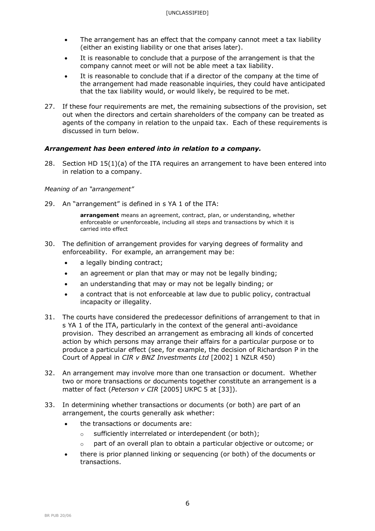- The arrangement has an effect that the company cannot meet a tax liability (either an existing liability or one that arises later).
- It is reasonable to conclude that a purpose of the arrangement is that the company cannot meet or will not be able meet a tax liability.
- It is reasonable to conclude that if a director of the company at the time of the arrangement had made reasonable inquiries, they could have anticipated that the tax liability would, or would likely, be required to be met.
- 27. If these four requirements are met, the remaining subsections of the provision, set out when the directors and certain shareholders of the company can be treated as agents of the company in relation to the unpaid tax. Each of these requirements is discussed in turn below.

## *Arrangement has been entered into in relation to a company.*

28. Section HD  $15(1)(a)$  of the ITA requires an arrangement to have been entered into in relation to a company.

## *Meaning of an "arrangement"*

29. An "arrangement" is defined in s YA 1 of the ITA:

**arrangement** means an agreement, contract, plan, or understanding, whether enforceable or unenforceable, including all steps and transactions by which it is carried into effect

- 30. The definition of arrangement provides for varying degrees of formality and enforceability. For example, an arrangement may be:
	- a legally binding contract;
	- an agreement or plan that may or may not be legally binding;
	- an understanding that may or may not be legally binding; or
	- a contract that is not enforceable at law due to public policy, contractual incapacity or illegality.
- 31. The courts have considered the predecessor definitions of arrangement to that in s YA 1 of the ITA, particularly in the context of the general anti-avoidance provision. They described an arrangement as embracing all kinds of concerted action by which persons may arrange their affairs for a particular purpose or to produce a particular effect (see, for example, the decision of Richardson P in the Court of Appeal in *CIR v BNZ Investments Ltd* [2002] 1 NZLR 450)
- 32. An arrangement may involve more than one transaction or document. Whether two or more transactions or documents together constitute an arrangement is a matter of fact (*Peterson v CIR* [2005] UKPC 5 at [33]).
- 33. In determining whether transactions or documents (or both) are part of an arrangement, the courts generally ask whether:
	- the transactions or documents are:
		- o sufficiently interrelated or interdependent (or both);
		- o part of an overall plan to obtain a particular objective or outcome; or
	- there is prior planned linking or sequencing (or both) of the documents or transactions.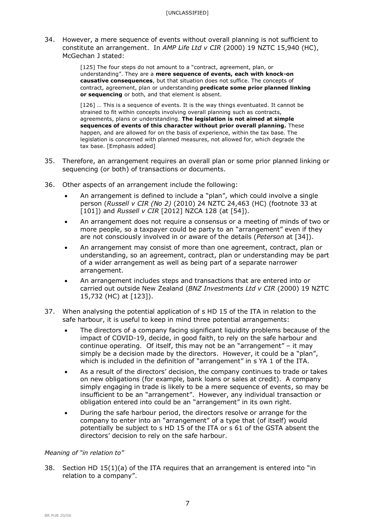34. However, a mere sequence of events without overall planning is not sufficient to constitute an arrangement. In *AMP Life Ltd v CIR* (2000) 19 NZTC 15,940 (HC), McGechan J stated:

> [125] The four steps do not amount to a "contract, agreement, plan, or understanding". They are a **mere sequence of events, each with knock-on causative consequences**, but that situation does not suffice. The concepts of contract, agreement, plan or understanding **predicate some prior planned linking or sequencing** or both, and that element is absent.

[126] … This is a sequence of events. It is the way things eventuated. It cannot be strained to fit within concepts involving overall planning such as contracts, agreements, plans or understanding. **The legislation is not aimed at simple sequences of events of this character without prior overall planning.** These happen, and are allowed for on the basis of experience, within the tax base. The legislation is concerned with planned measures, not allowed for, which degrade the tax base. [Emphasis added]

- 35. Therefore, an arrangement requires an overall plan or some prior planned linking or sequencing (or both) of transactions or documents.
- 36. Other aspects of an arrangement include the following:
	- An arrangement is defined to include a "plan", which could involve a single person (*Russell v CIR (No 2)* (2010) 24 NZTC 24,463 (HC) (footnote 33 at [101]) and *Russell v CIR* [2012] NZCA 128 (at [54]).
	- An arrangement does not require a consensus or a meeting of minds of two or more people, so a taxpayer could be party to an "arrangement" even if they are not consciously involved in or aware of the details (*Peterson* at [34]).
	- An arrangement may consist of more than one agreement, contract, plan or understanding, so an agreement, contract, plan or understanding may be part of a wider arrangement as well as being part of a separate narrower arrangement.
	- An arrangement includes steps and transactions that are entered into or carried out outside New Zealand (*BNZ Investments Ltd v CIR* (2000) 19 NZTC 15,732 (HC) at [123]).
- 37. When analysing the potential application of s HD 15 of the ITA in relation to the safe harbour, it is useful to keep in mind three potential arrangements:
	- The directors of a company facing significant liquidity problems because of the impact of COVID-19, decide, in good faith, to rely on the safe harbour and continue operating. Of itself, this may not be an "arrangement" – it may simply be a decision made by the directors. However, it could be a "plan", which is included in the definition of "arrangement" in s YA 1 of the ITA.
	- As a result of the directors' decision, the company continues to trade or takes on new obligations (for example, bank loans or sales at credit). A company simply engaging in trade is likely to be a mere sequence of events, so may be insufficient to be an "arrangement". However, any individual transaction or obligation entered into could be an "arrangement" in its own right.
	- During the safe harbour period, the directors resolve or arrange for the company to enter into an "arrangement" of a type that (of itself) would potentially be subject to s HD 15 of the ITA or s 61 of the GSTA absent the directors' decision to rely on the safe harbour.

## *Meaning of "in relation to"*

38. Section HD 15(1)(a) of the ITA requires that an arrangement is entered into "in relation to a company".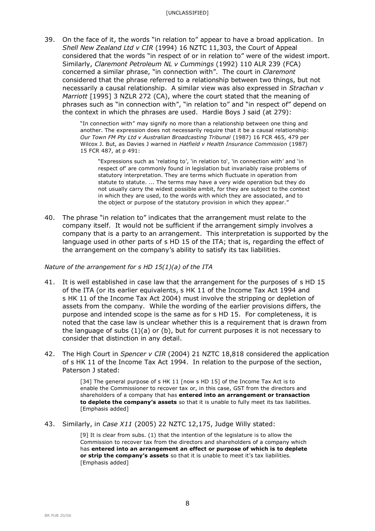39. On the face of it, the words "in relation to" appear to have a broad application. In *Shell New Zealand Ltd v CIR* (1994) 16 NZTC 11,303, the Court of Appeal considered that the words "in respect of or [in](javascript:return%20false;) relation to" were of the widest import. Similarly, *Claremont Petroleum NL v Cummings* (1992) 110 ALR 239 (FCA) concerned a similar phrase, "in connection with". The court in *Claremont*  considered that the phrase referred to a relationship between two things, but not necessarily a causal relationship. A similar view was also expressed in *Strachan v Marriott* [1995] 3 NZLR 272 (CA), where the court stated that the meaning of phrases such as "in connection with", "[in](javascript:return%20false;) relation to" and "in respect of" depend on the context in which the phrases are used. Hardie Boys J said (at 279):

> "In connection with" may signify no more than a relationship between one thing and another. The expression does not necessarily require that it be a causal relationship: *Our Town FM Pty Ltd v Australian Broadcasting Tribunal* (1987) 16 FCR 465, 479 per Wilcox J. But, as Davies J warned in *Hatfield v Health Insurance Commission* (1987) 15 FCR 487, at p 491:

"Expressions such as 'relating to', '[in relation to](javascript:return%20false;)', 'in connection with' and 'in respect of' are commonly found in legislation but invariably raise problems of statutory interpretation. They are terms which fluctuate in operation from statute to statute. ... The terms may have a very wide operation but they do not usually carry the widest possible ambit, for they are subject to the context in which they are used, to the words with which they are associated, and to the object or purpose of the statutory provision in which they appear."

40. The phrase "in relation to" indicates that the arrangement must relate to the company itself. It would not be sufficient if the arrangement simply involves a company that is a party to an arrangement. This interpretation is supported by the language used in other parts of s HD 15 of the ITA; that is, regarding the effect of the arrangement on the company's ability to satisfy its tax liabilities.

## *Nature of the arrangement for s HD 15(1)(a) of the ITA*

- 41. It is well established in case law that the arrangement for the purposes of s HD 15 of the ITA (or its earlier equivalents, s HK 11 of the Income Tax Act 1994 and s HK 11 of the Income Tax Act 2004) must involve the stripping or depletion of assets from the company. While the wording of the earlier provisions differs, the purpose and intended scope is the same as for s HD 15. For completeness, it is noted that the case law is unclear whether this is a requirement that is drawn from the language of subs  $(1)(a)$  or  $(b)$ , but for current purposes it is not necessary to consider that distinction in any detail.
- 42. The High Court in *Spencer v CIR* (2004) 21 NZTC 18,818 considered the application of s HK 11 of the Income Tax Act 1994. In relation to the purpose of the section, Paterson J stated:

[34] The general purpose of s HK 11 [now s HD 15] of the Income Tax Act is to enable the Commissioner to recover tax or, in this case, GST from the directors and shareholders of a company that has **entered into an arrangement or transaction to deplete the company's assets** so that it is unable to fully meet its tax liabilities. [Emphasis added]

43. Similarly, in *Case X11* (2005) 22 NZTC 12,175, Judge Willy stated:

[9] It is clear from subs. (1) that the intention of the legislature is to allow the Commission to recover tax from the directors and shareholders of a company which has **entered into an arrangement an effect or purpose of which is to deplete or strip the company's assets** so that it is unable to meet it's tax liabilities. [Emphasis added]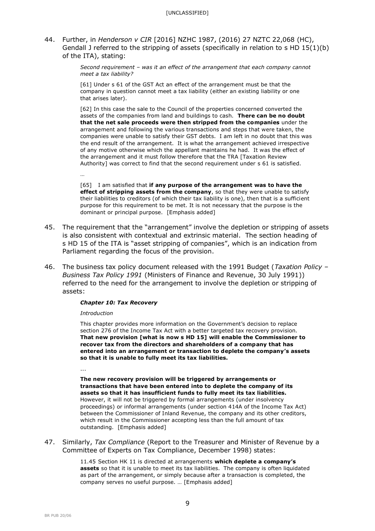44. Further, in *Henderson v CIR* [2016] NZHC 1987, (2016) 27 NZTC 22,068 (HC), Gendall J referred to the stripping of assets (specifically in relation to s HD  $15(1)(b)$ ) of the ITA), stating:

> *Second requirement – was it an effect of the arrangement that each company cannot meet a tax liability?*

[61] Under s 61 of the GST Act an effect of the arrangement must be that the company in question cannot meet a tax liability (either an existing liability or one that arises later).

[62] In this case the sale to the Council of the properties concerned converted the assets of the companies from land and buildings to cash. **There can be no doubt that the net sale proceeds were then stripped from the companies** under the arrangement and following the various transactions and steps that were taken, the companies were unable to satisfy their GST debts. I am left in no doubt that this was the end result of the arrangement. It is what the arrangement achieved irrespective of any motive otherwise which the appellant maintains he had. It was the effect of the arrangement and it must follow therefore that the TRA [Taxation Review Authority] was correct to find that the second requirement under s 61 is satisfied.

[65] I am satisfied that **if any purpose of the arrangement was to have the effect of stripping assets from the company**, so that they were unable to satisfy their liabilities to creditors (of which their tax liability is one), then that is a sufficient purpose for this requirement to be met. It is not necessary that the purpose is the dominant or principal purpose. [Emphasis added]

- 45. The requirement that the "arrangement" involve the depletion or stripping of assets is also consistent with contextual and extrinsic material. The section heading of s HD 15 of the ITA is "asset stripping of companies", which is an indication from Parliament regarding the focus of the provision.
- 46. The business tax policy document released with the 1991 Budget (*Taxation Policy – Business Tax Policy 1991* (Ministers of Finance and Revenue, 30 July 1991)) referred to the need for the arrangement to involve the depletion or stripping of assets:

### *Chapter 10: Tax Recovery*

### *Introduction*

…

This chapter provides more information on the Government's decision to replace section 276 of the Income Tax Act with a better targeted tax recovery provision. **That new provision [what is now s HD 15] will enable the Commissioner to recover tax from the directors and shareholders of a company that has entered into an arrangement or transaction to deplete the company's assets so that it is unable to fully meet its tax liabilities.**

...

**The new recovery provision will be triggered by arrangements or transactions that have been entered into to deplete the company of its assets so that it has insufficient funds to fully meet its tax liabilities.** However, it will not be triggered by formal arrangements (under insolvency proceedings) or informal arrangements (under section 414A of the Income Tax Act) between the Commissioner of Inland Revenue, the company and its other creditors, which result in the Commissioner accepting less than the full amount of tax outstanding. [Emphasis added]

47. Similarly, *Tax Compliance* (Report to the Treasurer and Minister of Revenue by a Committee of Experts on Tax Compliance, December 1998) states:

> 11.45 Section HK 11 is directed at arrangements **which deplete a company's assets** so that it is unable to meet its tax liabilities. The company is often liquidated as part of the arrangement, or simply because after a transaction is completed, the company serves no useful purpose. … [Emphasis added]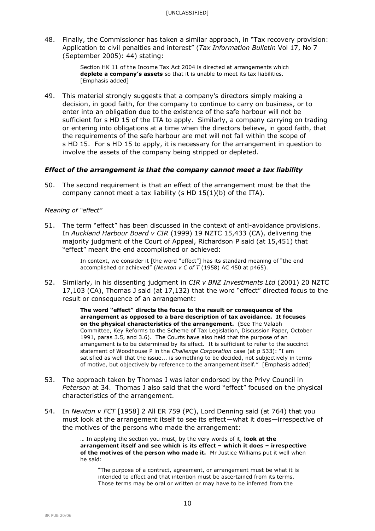48. Finally, the Commissioner has taken a similar approach, in "Tax recovery provision: Application to civil penalties and interest" (*Tax Information Bulletin* Vol 17, No 7 (September 2005): 44) stating:

> Section HK 11 of the Income Tax Act 2004 is directed at arrangements which **deplete a company's assets** so that it is unable to meet its tax liabilities. [Emphasis added]

49. This material strongly suggests that a company's directors simply making a decision, in good faith, for the company to continue to carry on business, or to enter into an obligation due to the existence of the safe harbour will not be sufficient for s HD 15 of the ITA to apply. Similarly, a company carrying on trading or entering into obligations at a time when the directors believe, in good faith, that the requirements of the safe harbour are met will not fall within the scope of s HD 15. For s HD 15 to apply, it is necessary for the arrangement in question to involve the assets of the company being stripped or depleted.

## *Effect of the arrangement is that the company cannot meet a tax liability*

50. The second requirement is that an effect of the arrangement must be that the company cannot meet a tax liability (s HD 15(1)(b) of the ITA).

## *Meaning of "effect"*

51. The term "effect" has been discussed in the context of anti-avoidance provisions. In *Auckland Harbour Board v CIR* (1999) 19 NZTC 15,433 (CA), delivering the majority judgment of the Court of Appeal, Richardson P said (at 15,451) that "effect" meant the end accomplished or achieved:

> In context, we consider it [the word "effect"] has its standard meaning of "the end accomplished or achieved" (*Newton v C of T* (1958) AC 450 at p465).

52. Similarly, in his dissenting judgment in *CIR v BNZ Investments Ltd* (2001) 20 NZTC 17,103 (CA), Thomas J said (at 17,132) that the word "effect" directed focus to the result or consequence of an arrangement:

> **The word "effect" directs the focus to the result or consequence of the arrangement as opposed to a bare description of tax avoidance. It focuses on the physical characteristics of the arrangement.** (See The Valabh Committee, Key Reforms to the Scheme of Tax Legislation, Discussion Paper, October 1991, paras 3.5, and 3.6). The Courts have also held that the purpose of an arrangement is to be determined by its effect. It is sufficient to refer to the succinct statement of Woodhouse P in the *Challenge Corporation* case (at p 533): "I am satisfied as well that the issue... is something to be decided, not subjectively in terms of motive, but objectively by reference to the arrangement itself." [Emphasis added]

- 53. The approach taken by Thomas J was later endorsed by the Privy Council in *Peterson* at 34. Thomas J also said that the word "effect" focused on the physical characteristics of the arrangement.
- 54. In *Newton v FCT* [1958] 2 All ER 759 (PC), Lord Denning said (at 764) that you must look at the arrangement itself to see its effect—what it does—irrespective of the motives of the persons who made the arrangement:

… In applying the section you must, by the very words of it, **look at the arrangement itself and see which is its effect – which it does – irrespective of the motives of the person who made it.** Mr Justice Williams put it well when he said:

"The purpose of a contract, agreement, or arrangement must be what it is intended to effect and that intention must be ascertained from its terms. Those terms may be oral or written or may have to be inferred from the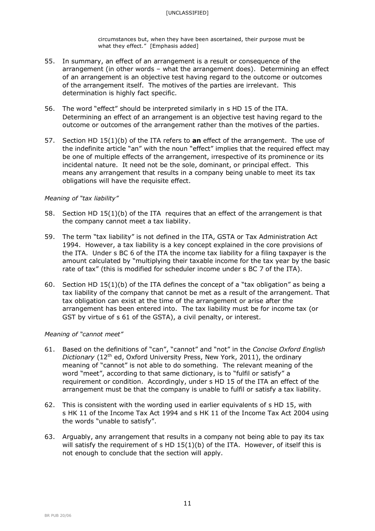circumstances but, when they have been ascertained, their purpose must be what they effect." [Emphasis added]

- 55. In summary, an effect of an arrangement is a result or consequence of the arrangement (in other words – what the arrangement does). Determining an effect of an arrangement is an objective test having regard to the outcome or outcomes of the arrangement itself. The motives of the parties are irrelevant. This determination is highly fact specific.
- 56. The word "effect" should be interpreted similarly in s HD 15 of the ITA. Determining an effect of an arrangement is an objective test having regard to the outcome or outcomes of the arrangement rather than the motives of the parties.
- 57. Section HD 15(1)(b) of the ITA refers to **an** effect of the arrangement. The use of the indefinite article "an" with the noun "effect" implies that the required effect may be one of multiple effects of the arrangement, irrespective of its prominence or its incidental nature. It need not be the sole, dominant, or principal effect. This means any arrangement that results in a company being unable to meet its tax obligations will have the requisite effect.

## *Meaning of "tax liability"*

- 58. Section HD 15(1)(b) of the ITA requires that an effect of the arrangement is that the company cannot meet a tax liability.
- 59. The term "tax liability" is not defined in the ITA, GSTA or Tax Administration Act 1994. However, a tax liability is a key concept explained in the core provisions of the ITA. Under s BC 6 of the ITA the income tax liability for a filing taxpayer is the amount calculated by "multiplying their taxable income for the tax year by the basic rate of tax" (this is modified for scheduler income under s BC 7 of the ITA).
- 60. Section HD 15(1)(b) of the ITA defines the concept of a "tax obligation" as being a tax liability of the company that cannot be met as a result of the arrangement. That tax obligation can exist at the time of the arrangement or arise after the arrangement has been entered into. The tax liability must be for income tax (or GST by virtue of s 61 of the GSTA), a civil penalty, or interest.

## *Meaning of "cannot meet"*

- 61. Based on the definitions of "can", "cannot" and "not" in the *Concise Oxford English Dictionary* (12<sup>th</sup> ed, Oxford University Press, New York, 2011), the ordinary meaning of "cannot" is not able to do something. The relevant meaning of the word "meet", according to that same dictionary, is to "fulfil or satisfy" a requirement or condition. Accordingly, under s HD 15 of the ITA an effect of the arrangement must be that the company is unable to fulfil or satisfy a tax liability.
- 62. This is consistent with the wording used in earlier equivalents of s HD 15, with s HK 11 of the Income Tax Act 1994 and s HK 11 of the Income Tax Act 2004 using the words "unable to satisfy".
- 63. Arguably, any arrangement that results in a company not being able to pay its tax will satisfy the requirement of s HD 15(1)(b) of the ITA. However, of itself this is not enough to conclude that the section will apply.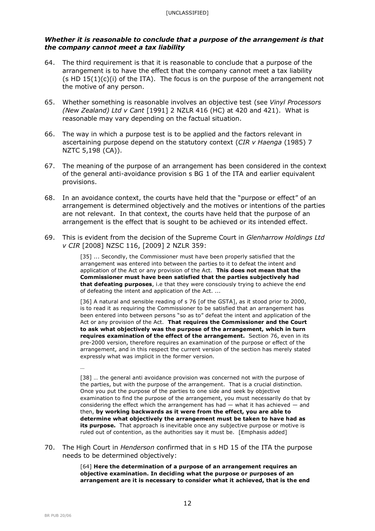## *Whether it is reasonable to conclude that a purpose of the arrangement is that the company cannot meet a tax liability*

- 64. The third requirement is that it is reasonable to conclude that a purpose of the arrangement is to have the effect that the company cannot meet a tax liability (s HD  $15(1)(c)(i)$  of the ITA). The focus is on the purpose of the arrangement not the motive of any person.
- 65. Whether something is reasonable involves an objective test (see *Vinyl Processors (New Zealand) Ltd v Cant* [1991] 2 NZLR 416 (HC) at 420 and 421). What is reasonable may vary depending on the factual situation.
- 66. The way in which a purpose test is to be applied and the factors relevant in ascertaining purpose depend on the statutory context (*CIR v Haenga* (1985) 7 NZTC 5,198 (CA)).
- 67. The meaning of the purpose of an arrangement has been considered in the context of the general anti-avoidance provision s BG 1 of the ITA and earlier equivalent provisions.
- 68. In an avoidance context, the courts have held that the "purpose or effect" of an arrangement is determined objectively and the motives or intentions of the parties are not relevant. In that context, the courts have held that the purpose of an arrangement is the effect that is sought to be achieved or its intended effect.
- 69. This is evident from the decision of the Supreme Court in *Glenharrow Holdings Ltd v CIR* [2008] NZSC 116, [2009] 2 NZLR 359:

[35] ... Secondly, the Commissioner must have been properly satisfied that the arrangement was entered into between the parties to it to defeat the intent and application of the Act or any provision of the Act. **This does not mean that the Commissioner must have been satisfied that the parties subjectively had that defeating purposes**, i.e that they were consciously trying to achieve the end of defeating the intent and application of the Act. ...

[36] A natural and sensible reading of s 76 [of the GSTA], as it stood prior to 2000, is to read it as requiring the Commissioner to be satisfied that an arrangement has been entered into between persons "so as to" defeat the intent and application of the Act or any provision of the Act. **That requires the Commissioner and the Court to ask what objectively was the purpose of the arrangement, which in turn requires examination of the effect of the arrangement.** Section 76, even in its pre-2000 version, therefore requires an examination of the purpose or effect of the arrangement, and in this respect the current version of the section has merely stated expressly what was implicit in the former version.

…

[38] ... the general anti avoidance provision was concerned not with the purpose of the parties, but with the purpose of the arrangement. That is a crucial distinction. Once you put the purpose of the parties to one side and seek by objective examination to find the purpose of the arrangement, you must necessarily do that by considering the effect which the arrangement has had  $-$  what it has achieved  $-$  and then, **by working backwards as it were from the effect, you are able to determine what objectively the arrangement must be taken to have had as its purpose.** That approach is inevitable once any subjective purpose or motive is ruled out of contention, as the authorities say it must be. [Emphasis added]

70. The High Court in *Henderson* confirmed that in s HD 15 of the ITA the purpose needs to be determined objectively:

> [64] **Here the determination of a purpose of an arrangement requires an objective examination. In deciding what the purpose or purposes of an arrangement are it is necessary to consider what it achieved, that is the end**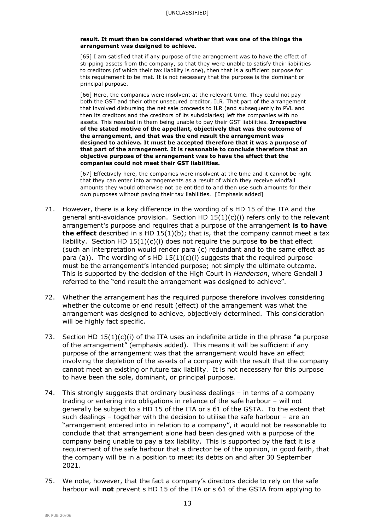#### **result. It must then be considered whether that was one of the things the arrangement was designed to achieve.**

[65] I am satisfied that if any purpose of the arrangement was to have the effect of stripping assets from the company, so that they were unable to satisfy their liabilities to creditors (of which their tax liability is one), then that is a sufficient purpose for this requirement to be met. It is not necessary that the purpose is the dominant or principal purpose.

[66] Here, the companies were insolvent at the relevant time. They could not pay both the GST and their other unsecured creditor, ILR. That part of the arrangement that involved disbursing the net sale proceeds to ILR (and subsequently to PVL and then its creditors and the creditors of its subsidiaries) left the companies with no assets. This resulted in them being unable to pay their GST liabilities. **Irrespective of the stated motive of the appellant, objectively that was the outcome of the arrangement, and that was the end result the arrangement was designed to achieve. It must be accepted therefore that it was a purpose of that part of the arrangement. It is reasonable to conclude therefore that an objective purpose of the arrangement was to have the effect that the companies could not meet their GST liabilities.**

[67] Effectively here, the companies were insolvent at the time and it cannot be right that they can enter into arrangements as a result of which they receive windfall amounts they would otherwise not be entitled to and then use such amounts for their own purposes without paying their tax liabilities. [Emphasis added]

- 71. However, there is a key difference in the wording of s HD 15 of the ITA and the general anti-avoidance provision. Section HD  $15(1)(c)(i)$  refers only to the relevant arrangement's purpose and requires that a purpose of the arrangement **is to have the effect** described in s HD 15(1)(b); that is, that the company cannot meet a tax liability. Section HD 15(1)(c)(i) does not require the purpose **to be** that effect (such an interpretation would render para (c) redundant and to the same effect as para (a)). The wording of s HD  $15(1)(c)(i)$  suggests that the required purpose must be the arrangement's intended purpose; not simply the ultimate outcome. This is supported by the decision of the High Court in *Henderson*, where Gendall J referred to the "end result the arrangement was designed to achieve".
- 72. Whether the arrangement has the required purpose therefore involves considering whether the outcome or end result (effect) of the arrangement was what the arrangement was designed to achieve, objectively determined. This consideration will be highly fact specific.
- 73. Section HD 15(1)(c)(i) of the ITA uses an indefinite article in the phrase "**a** purpose of the arrangement" (emphasis added). This means it will be sufficient if any purpose of the arrangement was that the arrangement would have an effect involving the depletion of the assets of a company with the result that the company cannot meet an existing or future tax liability. It is not necessary for this purpose to have been the sole, dominant, or principal purpose.
- 74. This strongly suggests that ordinary business dealings in terms of a company trading or entering into obligations in reliance of the safe harbour – will not generally be subject to s HD 15 of the ITA or s 61 of the GSTA. To the extent that such dealings – together with the decision to utilise the safe harbour – are an "arrangement entered into in relation to a company", it would not be reasonable to conclude that that arrangement alone had been designed with a purpose of the company being unable to pay a tax liability. This is supported by the fact it is a requirement of the safe harbour that a director be of the opinion, in good faith, that the company will be in a position to meet its debts on and after 30 September 2021.
- 75. We note, however, that the fact a company's directors decide to rely on the safe harbour will **not** prevent s HD 15 of the ITA or s 61 of the GSTA from applying to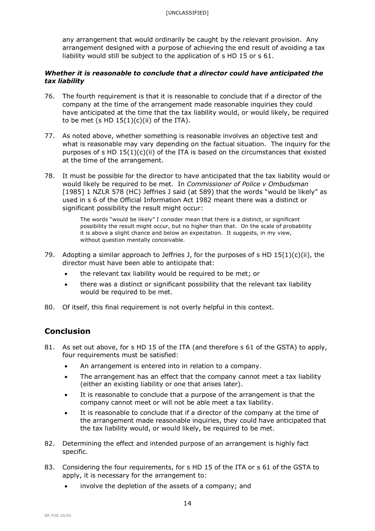any arrangement that would ordinarily be caught by the relevant provision. Any arrangement designed with a purpose of achieving the end result of avoiding a tax liability would still be subject to the application of s HD 15 or s 61.

## *Whether it is reasonable to conclude that a director could have anticipated the tax liability*

- 76. The fourth requirement is that it is reasonable to conclude that if a director of the company at the time of the arrangement made reasonable inquiries they could have anticipated at the time that the tax liability would, or would likely, be required to be met (s HD  $15(1)(c)(ii)$  of the ITA).
- 77. As noted above, whether something is reasonable involves an objective test and what is reasonable may vary depending on the factual situation. The inquiry for the purposes of s HD  $15(1)(c)(ii)$  of the ITA is based on the circumstances that existed at the time of the arrangement.
- 78. It must be possible for the director to have anticipated that the tax liability would or would likely be required to be met. In *Commissioner of Police v Ombudsman* [1985] 1 NZLR 578 (HC) Jeffries J said (at 589) that the words "would be likely" as used in s 6 of the Official Information Act 1982 meant there was a distinct or significant possibility the result might occur:

The words "would be likely" I consider mean that there is a distinct, or significant possibility the result might occur, but no higher than that. On the scale of probability it is above a slight chance and below an expectation. It suggests, in my view, without question mentally conceivable.

- 79. Adopting a similar approach to Jeffries J, for the purposes of s HD  $15(1)(c)(ii)$ , the director must have been able to anticipate that:
	- the relevant tax liability would be required to be met; or
	- there was a distinct or significant possibility that the relevant tax liability would be required to be met.
- 80. Of itself, this final requirement is not overly helpful in this context.

# **Conclusion**

- 81. As set out above, for s HD 15 of the ITA (and therefore s 61 of the GSTA) to apply, four requirements must be satisfied:
	- An arrangement is entered into in relation to a company.
	- The arrangement has an effect that the company cannot meet a tax liability (either an existing liability or one that arises later).
	- It is reasonable to conclude that a purpose of the arrangement is that the company cannot meet or will not be able meet a tax liability.
	- It is reasonable to conclude that if a director of the company at the time of the arrangement made reasonable inquiries, they could have anticipated that the tax liability would, or would likely, be required to be met.
- 82. Determining the effect and intended purpose of an arrangement is highly fact specific.
- 83. Considering the four requirements, for s HD 15 of the ITA or s 61 of the GSTA to apply, it is necessary for the arrangement to:
	- involve the depletion of the assets of a company; and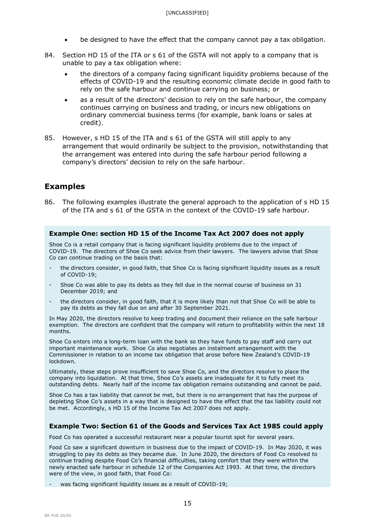- be designed to have the effect that the company cannot pay a tax obligation.
- 84. Section HD 15 of the ITA or s 61 of the GSTA will not apply to a company that is unable to pay a tax obligation where:
	- the directors of a company facing significant liquidity problems because of the effects of COVID-19 and the resulting economic climate decide in good faith to rely on the safe harbour and continue carrying on business; or
	- as a result of the directors' decision to rely on the safe harbour, the company continues carrying on business and trading, or incurs new obligations on ordinary commercial business terms (for example, bank loans or sales at credit).
- 85. However, s HD 15 of the ITA and s 61 of the GSTA will still apply to any arrangement that would ordinarily be subject to the provision, notwithstanding that the arrangement was entered into during the safe harbour period following a company's directors' decision to rely on the safe harbour.

## **Examples**

86. The following examples illustrate the general approach to the application of s HD 15 of the ITA and s 61 of the GSTA in the context of the COVID-19 safe harbour.

### **Example One: section HD 15 of the Income Tax Act 2007 does not apply**

Shoe Co is a retail company that is facing significant liquidity problems due to the impact of COVID-19. The directors of Shoe Co seek advice from their lawyers. The lawyers advise that Shoe Co can continue trading on the basis that:

- the directors consider, in good faith, that Shoe Co is facing significant liquidity issues as a result of COVID-19;
- Shoe Co was able to pay its debts as they fell due in the normal course of business on 31 December 2019; and
- the directors consider, in good faith, that it is more likely than not that Shoe Co will be able to pay its debts as they fall due on and after 30 September 2021.

In May 2020, the directors resolve to keep trading and document their reliance on the safe harbour exemption. The directors are confident that the company will return to profitability within the next 18 months.

Shoe Co enters into a long-term loan with the bank so they have funds to pay staff and carry out important maintenance work. Shoe Co also negotiates an instalment arrangement with the Commissioner in relation to an income tax obligation that arose before New Zealand's COVID-19 lockdown.

Ultimately, these steps prove insufficient to save Shoe Co, and the directors resolve to place the company into liquidation. At that time, Shoe Co's assets are inadequate for it to fully meet its outstanding debts. Nearly half of the income tax obligation remains outstanding and cannot be paid.

Shoe Co has a tax liability that cannot be met, but there is no arrangement that has the purpose of depleting Shoe Co's assets in a way that is designed to have the effect that the tax liability could not be met. Accordingly, s HD 15 of the Income Tax Act 2007 does not apply.

## **Example Two: Section 61 of the Goods and Services Tax Act 1985 could apply**

Food Co has operated a successful restaurant near a popular tourist spot for several years.

Food Co saw a significant downturn in business due to the impact of COVID-19. In May 2020, it was struggling to pay its debts as they became due. In June 2020, the directors of Food Co resolved to continue trading despite Food Co's financial difficulties, taking comfort that they were within the newly enacted safe harbour in schedule 12 of the Companies Act 1993. At that time, the directors were of the view, in good faith, that Food Co:

was facing significant liquidity issues as a result of COVID-19;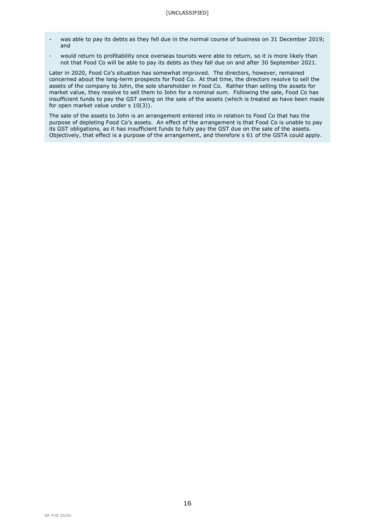- was able to pay its debts as they fell due in the normal course of business on 31 December 2019; and
- would return to profitability once overseas tourists were able to return, so it is more likely than not that Food Co will be able to pay its debts as they fall due on and after 30 September 2021.

Later in 2020, Food Co's situation has somewhat improved. The directors, however, remained concerned about the long-term prospects for Food Co. At that time, the directors resolve to sell the assets of the company to John, the sole shareholder in Food Co. Rather than selling the assets for market value, they resolve to sell them to John for a nominal sum. Following the sale, Food Co has insufficient funds to pay the GST owing on the sale of the assets (which is treated as have been made for open market value under s 10(3)).

The sale of the assets to John is an arrangement entered into in relation to Food Co that has the purpose of depleting Food Co's assets. An effect of the arrangement is that Food Co is unable to pay its GST obligations, as it has insufficient funds to fully pay the GST due on the sale of the assets. Objectively, that effect is a purpose of the arrangement, and therefore s 61 of the GSTA could apply.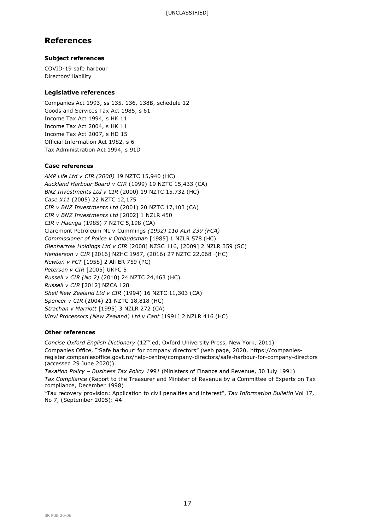# **References**

## **Subject references**

COVID-19 safe harbour Directors' liability

## **Legislative references**

Companies Act 1993, ss 135, 136, 138B, schedule 12 Goods and Services Tax Act 1985, s 61 Income Tax Act 1994, s HK 11 Income Tax Act 2004, s HK 11 Income Tax Act 2007, s HD 15 Official Information Act 1982, s 6 Tax Administration Act 1994, s 91D

### **Case references**

*AMP Life Ltd v CIR (2000)* 19 NZTC 15,940 (HC) *Auckland Harbour Board v CIR* (1999) 19 NZTC 15,433 (CA) *BNZ Investments Ltd v CIR* (2000) 19 NZTC 15,732 (HC) *Case X11* (2005) 22 NZTC 12,175 *CIR v BNZ Investments Ltd* (2001) 20 NZTC 17,103 (CA) *CIR v BNZ Investments Ltd* [2002] 1 NZLR 450 *CIR v Haenga* (1985) 7 NZTC 5,198 (CA) Claremont Petroleum NL v Cummings *(1992) 110 ALR 239 (FCA) Commissioner of Police v Ombudsman* [1985] 1 NZLR 578 (HC) *Glenharrow Holdings Ltd v CIR* [2008] NZSC 116, [2009] 2 NZLR 359 (SC) *Henderson v CIR* [2016] NZHC 1987, (2016) 27 NZTC 22,068 (HC) *Newton v FCT* [1958] 2 All ER 759 (PC) *Peterson v CIR* [2005] UKPC 5 *Russell v CIR (No 2)* (2010) 24 NZTC 24,463 (HC) *Russell v CIR* [2012] NZCA 128 *Shell New Zealand Ltd v CIR* (1994) 16 NZTC 11,303 (CA) *Spencer v CIR* (2004) 21 NZTC 18,818 (HC) *Strachan v Marriott* [1995] 3 NZLR 272 (CA) *Vinyl Processors (New Zealand) Ltd v Cant* [1991] 2 NZLR 416 (HC)

## **Other references**

*Concise Oxford English Dictionary* (12th ed, Oxford University Press, New York, 2011) Companies Office, "'Safe harbour' for company directors" (web page, 2020, https://companiesregister.companiesoffice.govt.nz/help-centre/company-directors/safe-harbour-for-company-directors (accessed 29 June 2020)).

*Taxation Policy – Business Tax Policy 1991* (Ministers of Finance and Revenue, 30 July 1991) *Tax Compliance* (Report to the Treasurer and Minister of Revenue by a Committee of Experts on Tax compliance, December 1998)

"Tax recovery provision: Application to civil penalties and interest", *Tax Information Bulletin* Vol 17, No 7, (September 2005): 44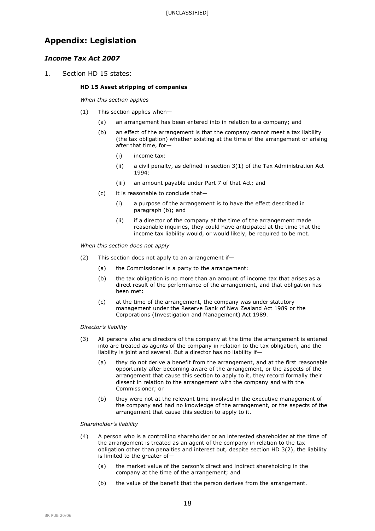# **Appendix: Legislation**

## *Income Tax Act 2007*

1. Section HD 15 states:

#### **HD 15 Asset stripping of companies**

*When this section applies*

- (1) This section applies when—
	- (a) an arrangement has been entered into in relation to a company; and
	- (b) an effect of the arrangement is that the company cannot meet a tax liability (the tax obligation) whether existing at the time of the arrangement or arising after that time, for—
		- (i) income tax:
		- (ii) a civil penalty, as defined in section 3(1) of the Tax Administration Act 1994:
		- (iii) an amount payable under Part 7 of that Act; and
	- (c) it is reasonable to conclude that—
		- (i) a purpose of the arrangement is to have the effect described in paragraph (b); and
		- (ii) if a director of the company at the time of the arrangement made reasonable inquiries, they could have anticipated at the time that the income tax liability would, or would likely, be required to be met.

*When this section does not apply*

- (2) This section does not apply to an arrangement if—
	- (a) the Commissioner is a party to the arrangement:
	- (b) the tax obligation is no more than an amount of income tax that arises as a direct result of the performance of the arrangement, and that obligation has been met:
	- (c) at the time of the arrangement, the company was under statutory management under the Reserve Bank of New Zealand Act 1989 or the Corporations (Investigation and Management) Act 1989.

#### *Director's liability*

- (3) All persons who are directors of the company at the time the arrangement is entered into are treated as agents of the company in relation to the tax obligation, and the liability is joint and several. But a director has no liability if—
	- (a) they do not derive a benefit from the arrangement, and at the first reasonable opportunity after becoming aware of the arrangement, or the aspects of the arrangement that cause this section to apply to it, they record formally their dissent in relation to the arrangement with the company and with the Commissioner; or
	- (b) they were not at the relevant time involved in the executive management of the company and had no knowledge of the arrangement, or the aspects of the arrangement that cause this section to apply to it.

*Shareholder's liability*

- (4) A person who is a controlling shareholder or an interested shareholder at the time of the arrangement is treated as an agent of the company in relation to the tax obligation other than penalties and interest but, despite section HD 3(2), the liability is limited to the greater of—
	- (a) the market value of the person's direct and indirect shareholding in the company at the time of the arrangement; and
	- (b) the value of the benefit that the person derives from the arrangement.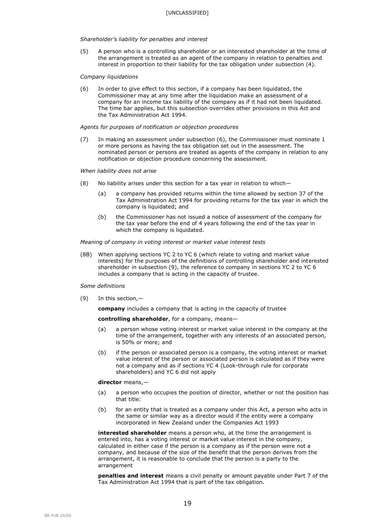#### *Shareholder's liability for penalties and interest*

(5) A person who is a controlling shareholder or an interested shareholder at the time of the arrangement is treated as an agent of the company in relation to penalties and interest in proportion to their liability for the tax obligation under subsection (4).

#### *Company liquidations*

(6) In order to give effect to this section, if a company has been liquidated, the Commissioner may at any time after the liquidation make an assessment of a company for an income tax liability of the company as if it had not been liquidated. The time bar applies, but this subsection overrides other provisions in this Act and the Tax Administration Act 1994.

#### *Agents for purposes of notification or objection procedures*

(7) In making an assessment under subsection (6), the Commissioner must nominate 1 or more persons as having the tax obligation set out in the assessment. The nominated person or persons are treated as agents of the company in relation to any notification or objection procedure concerning the assessment.

#### *When liability does not arise*

- (8) No liability arises under this section for a tax year in relation to which—
	- (a) a company has provided returns within the time allowed by section 37 of the Tax Administration Act 1994 for providing returns for the tax year in which the company is liquidated; and
	- (b) the Commissioner has not issued a notice of assessment of the company for the tax year before the end of 4 years following the end of the tax year in which the company is liquidated.

#### *Meaning of company in voting interest or market value interest tests*

(8B) When applying sections YC 2 to YC 6 (which relate to voting and market value interests) for the purposes of the definitions of controlling shareholder and interested shareholder in subsection (9), the reference to company in sections YC 2 to YC 6 includes a company that is acting in the capacity of trustee.

#### *Some definitions*

(9) In this section,—

**company** includes a company that is acting in the capacity of trustee

#### **controlling shareholder**, for a company, means—

- (a) a person whose voting interest or market value interest in the company at the time of the arrangement, together with any interests of an associated person, is 50% or more; and
- (b) if the person or associated person is a company, the voting interest or market value interest of the person or associated person is calculated as if they were not a company and as if sections YC 4 (Look-through rule for corporate shareholders) and YC 6 did not apply

#### **director** means,—

- (a) a person who occupies the position of director, whether or not the position has that title:
- (b) for an entity that is treated as a company under this Act, a person who acts in the same or similar way as a director would if the entity were a company incorporated in New Zealand under the Companies Act 1993

**interested shareholder** means a person who, at the time the arrangement is entered into, has a voting interest or market value interest in the company, calculated in either case if the person is a company as if the person were not a company, and because of the size of the benefit that the person derives from the arrangement, it is reasonable to conclude that the person is a party to the arrangement

**penalties and interest** means a civil penalty or amount payable under Part 7 of the Tax Administration Act 1994 that is part of the tax obligation.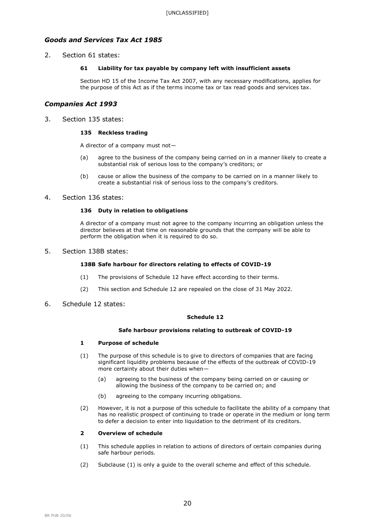## *Goods and Services Tax Act 1985*

2. Section 61 states:

### **61 Liability for tax payable by company left with insufficient assets**

Section HD 15 of the Income Tax Act 2007, with any necessary modifications, applies for the purpose of this Act as if the terms income tax or tax read goods and services tax.

## *Companies Act 1993*

3. Section 135 states:

#### **135 Reckless trading**

A director of a company must not—

- (a) agree to the business of the company being carried on in a manner likely to create a substantial risk of serious loss to the company's creditors; or
- (b) cause or allow the business of the company to be carried on in a manner likely to create a substantial risk of serious loss to the company's creditors.

### 4. Section 136 states:

### **136 Duty in relation to obligations**

A director of a company must not agree to the company incurring an obligation unless the director believes at that time on reasonable grounds that the company will be able to perform the obligation when it is required to do so.

5. Section 138B states:

### **138B Safe harbour for directors relating to effects of COVID-19**

- (1) The provisions of Schedule 12 have effect according to their terms.
- (2) This section and Schedule 12 are repealed on the close of 31 May 2022.
- 6. Schedule 12 states:

#### **Schedule 12**

#### **Safe harbour provisions relating to outbreak of COVID-19**

### **1 Purpose of schedule**

- (1) The purpose of this schedule is to give to directors of companies that are facing significant liquidity problems because of the effects of the outbreak of COVID-19 more certainty about their duties when—
	- (a) agreeing to the business of the company being carried on or causing or allowing the business of the company to be carried on; and
	- (b) agreeing to the company incurring obligations.
- (2) However, it is not a purpose of this schedule to facilitate the ability of a company that has no realistic prospect of continuing to trade or operate in the medium or long term to defer a decision to enter into liquidation to the detriment of its creditors.

#### **2 Overview of schedule**

- (1) This schedule applies in relation to actions of directors of certain companies during safe harbour periods.
- (2) Subclause (1) is only a guide to the overall scheme and effect of this schedule.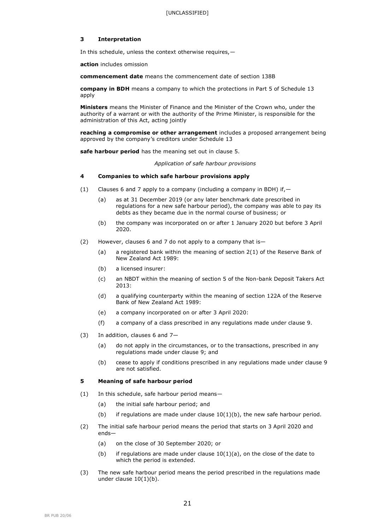#### **3 Interpretation**

In this schedule, unless the context otherwise requires,—

**action** includes omission

**commencement date** means the commencement date of section 138B

**company in BDH** means a company to which the protections in Part 5 of Schedule 13 apply

**Ministers** means the Minister of Finance and the Minister of the Crown who, under the authority of a warrant or with the authority of the Prime Minister, is responsible for the administration of this Act, acting jointly

**reaching a compromise or other arrangement** includes a proposed arrangement being approved by the company's creditors under Schedule 13

**safe harbour period** has the meaning set out in clause 5.

*Application of safe harbour provisions*

### **4 Companies to which safe harbour provisions apply**

- (1) Clauses 6 and 7 apply to a company (including a company in BDH) if,  $-$ 
	- (a) as at 31 December 2019 (or any later benchmark date prescribed in regulations for a new safe harbour period), the company was able to pay its debts as they became due in the normal course of business; or
	- (b) the company was incorporated on or after 1 January 2020 but before 3 April 2020.
- (2) However, clauses 6 and 7 do not apply to a company that is—
	- (a) a registered bank within the meaning of section 2(1) of the Reserve Bank of New Zealand Act 1989:
	- (b) a licensed insurer:
	- (c) an NBDT within the meaning of section 5 of the Non-bank Deposit Takers Act 2013:
	- (d) a qualifying counterparty within the meaning of section 122A of the Reserve Bank of New Zealand Act 1989:
	- (e) a company incorporated on or after 3 April 2020:
	- (f) a company of a class prescribed in any regulations made under clause 9.
- (3) In addition, clauses 6 and 7—
	- (a) do not apply in the circumstances, or to the transactions, prescribed in any regulations made under clause 9; and
	- (b) cease to apply if conditions prescribed in any regulations made under clause 9 are not satisfied.

#### **5 Meaning of safe harbour period**

- (1) In this schedule, safe harbour period means—
	- (a) the initial safe harbour period; and
	- (b) if regulations are made under clause  $10(1)(b)$ , the new safe harbour period.
- (2) The initial safe harbour period means the period that starts on 3 April 2020 and ends—
	- (a) on the close of 30 September 2020; or
	- (b) if regulations are made under clause  $10(1)(a)$ , on the close of the date to which the period is extended.
- (3) The new safe harbour period means the period prescribed in the regulations made under clause  $10(1)(b)$ .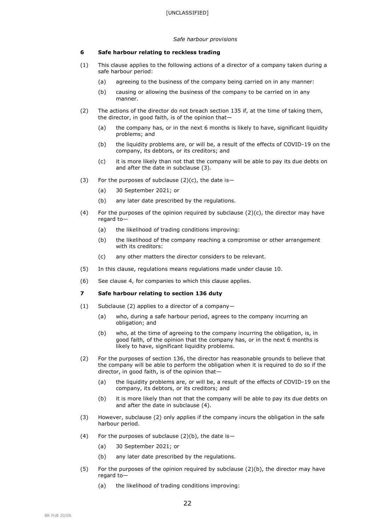#### *Safe harbour provisions*

### **6 Safe harbour relating to reckless trading**

- (1) This clause applies to the following actions of a director of a company taken during a safe harbour period:
	- (a) agreeing to the business of the company being carried on in any manner:
	- (b) causing or allowing the business of the company to be carried on in any manner.
- (2) The actions of the director do not breach section 135 if, at the time of taking them, the director, in good faith, is of the opinion that—
	- (a) the company has, or in the next 6 months is likely to have, significant liquidity problems; and
	- (b) the liquidity problems are, or will be, a result of the effects of COVID-19 on the company, its debtors, or its creditors; and
	- (c) it is more likely than not that the company will be able to pay its due debts on and after the date in subclause (3).
- (3) For the purposes of subclause  $(2)(c)$ , the date is-
	- (a) 30 September 2021; or
	- (b) any later date prescribed by the regulations.
- (4) For the purposes of the opinion required by subclause (2)(c), the director may have regard to—
	- (a) the likelihood of trading conditions improving:
	- (b) the likelihood of the company reaching a compromise or other arrangement with its creditors:
	- (c) any other matters the director considers to be relevant.
- (5) In this clause, regulations means regulations made under clause 10.
- (6) See clause 4, for companies to which this clause applies.

#### **7 Safe harbour relating to section 136 duty**

- (1) Subclause (2) applies to a director of a company—
	- (a) who, during a safe harbour period, agrees to the company incurring an obligation; and
	- (b) who, at the time of agreeing to the company incurring the obligation, is, in good faith, of the opinion that the company has, or in the next 6 months is likely to have, significant liquidity problems.
- (2) For the purposes of section 136, the director has reasonable grounds to believe that the company will be able to perform the obligation when it is required to do so if the director, in good faith, is of the opinion that—
	- (a) the liquidity problems are, or will be, a result of the effects of COVID-19 on the company, its debtors, or its creditors; and
	- (b) it is more likely than not that the company will be able to pay its due debts on and after the date in subclause (4).
- (3) However, subclause (2) only applies if the company incurs the obligation in the safe harbour period.
- (4) For the purposes of subclause  $(2)(b)$ , the date is-
	- (a) 30 September 2021; or
	- (b) any later date prescribed by the regulations.
- (5) For the purposes of the opinion required by subclause  $(2)(b)$ , the director may have regard to—
	- (a) the likelihood of trading conditions improving: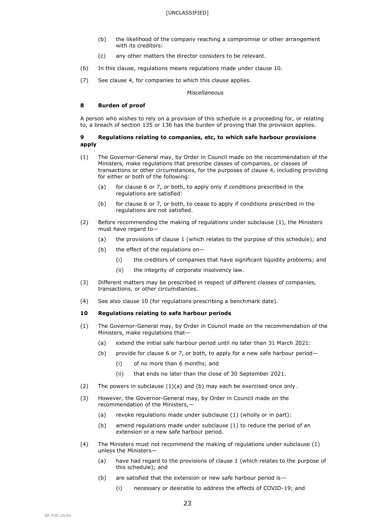- (b) the likelihood of the company reaching a compromise or other arrangement with its creditors:
- (c) any other matters the director considers to be relevant.
- (6) In this clause, regulations means regulations made under clause 10.
- (7) See clause 4, for companies to which this clause applies.

*Miscellaneous*

#### **8 Burden of proof**

A person who wishes to rely on a provision of this schedule in a proceeding for, or relating to, a breach of section 135 or 136 has the burden of proving that the provision applies.

#### **9 Regulations relating to companies, etc, to which safe harbour provisions apply**

- (1) The Governor-General may, by Order in Council made on the recommendation of the Ministers, make regulations that prescribe classes of companies, or classes of transactions or other circumstances, for the purposes of clause 4, including providing for either or both of the following:
	- (a) for clause 6 or 7, or both, to apply only if conditions prescribed in the regulations are satisfied:
	- (b) for clause 6 or 7, or both, to cease to apply if conditions prescribed in the regulations are not satisfied.
- (2) Before recommending the making of regulations under subclause (1), the Ministers must have regard to—
	- (a) the provisions of clause 1 (which relates to the purpose of this schedule); and
	- (b) the effect of the regulations on—
		- (i) the creditors of companies that have significant liquidity problems; and
		- (ii) the integrity of corporate insolvency law.
- (3) Different matters may be prescribed in respect of different classes of companies, transactions, or other circumstances.
- (4) See also clause 10 (for regulations prescribing a benchmark date).

#### **10 Regulations relating to safe harbour periods**

- (1) The Governor-General may, by Order in Council made on the recommendation of the Ministers, make regulations that—
	- (a) extend the initial safe harbour period until no later than 31 March 2021:
	- (b) provide for clause 6 or 7, or both, to apply for a new safe harbour period—
		- (i) of no more than 6 months; and
		- (ii) that ends no later than the close of 30 September 2021.
- (2) The powers in subclause  $(1)(a)$  and  $(b)$  may each be exercised once only.
- (3) However, the Governor-General may, by Order in Council made on the recommendation of the Ministers,—
	- (a) revoke regulations made under subclause (1) (wholly or in part):
	- (b) amend regulations made under subclause (1) to reduce the period of an extension or a new safe harbour period.
- (4) The Ministers must not recommend the making of regulations under subclause (1) unless the Ministers—
	- (a) have had regard to the provisions of clause 1 (which relates to the purpose of this schedule); and
	- (b) are satisfied that the extension or new safe harbour period is—
		- (i) necessary or desirable to address the effects of COVID-19; and